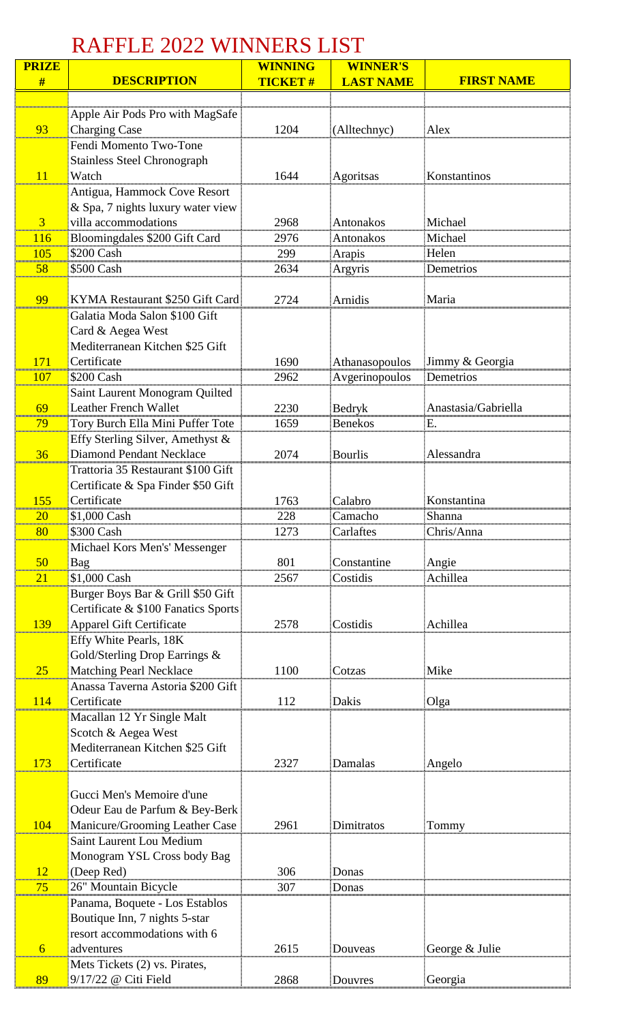## RAFFLE 2022 WINNERS LIST

| <b>PRIZE</b> |                                                            | <b>WINNING</b> | <b>WINNER'S</b>  |                     |
|--------------|------------------------------------------------------------|----------------|------------------|---------------------|
| #            | <b>DESCRIPTION</b>                                         | <b>TICKET#</b> | <b>LAST NAME</b> | <b>FIRST NAME</b>   |
|              |                                                            |                |                  |                     |
|              | Apple Air Pods Pro with MagSafe                            |                |                  |                     |
| 93           | <b>Charging Case</b>                                       | 1204           | (Alltechnyc)     | Alex                |
|              | Fendi Momento Two-Tone                                     |                |                  |                     |
|              | <b>Stainless Steel Chronograph</b>                         |                |                  |                     |
| 11           | Watch                                                      | 1644           | Agoritsas        | Konstantinos        |
|              | Antigua, Hammock Cove Resort                               |                |                  |                     |
|              | & Spa, 7 nights luxury water view                          |                |                  |                     |
| 3            | villa accommodations                                       | 2968           | Antonakos        | Michael             |
| 116          | Bloomingdales \$200 Gift Card                              | 2976           | Antonakos        | Michael             |
| 105          | \$200 Cash                                                 | 299            | Arapis           | Helen               |
| 58           | \$500 Cash                                                 | 2634           | Argyris          | Demetrios           |
|              |                                                            |                |                  |                     |
| 99           | KYMA Restaurant \$250 Gift Card                            | 2724           | Arnidis          | Maria               |
|              | Galatia Moda Salon \$100 Gift                              |                |                  |                     |
|              | Card & Aegea West                                          |                |                  |                     |
|              | Mediterranean Kitchen \$25 Gift                            |                |                  |                     |
| 171          | Certificate                                                | 1690           | Athanasopoulos   | Jimmy & Georgia     |
| 107          | \$200 Cash                                                 | 2962           | Avgerinopoulos   | Demetrios           |
|              | Saint Laurent Monogram Quilted                             |                |                  |                     |
| 69           | <b>Leather French Wallet</b>                               | 2230           | Bedryk           | Anastasia/Gabriella |
| 79           | Tory Burch Ella Mini Puffer Tote                           | 1659           | <b>Benekos</b>   | Е.                  |
|              | Effy Sterling Silver, Amethyst &                           |                |                  |                     |
| 36           | Diamond Pendant Necklace                                   | 2074           | <b>Bourlis</b>   | Alessandra          |
|              | Trattoria 35 Restaurant \$100 Gift                         |                |                  |                     |
|              | Certificate & Spa Finder \$50 Gift                         |                |                  |                     |
| 155          | Certificate                                                | 1763           | Calabro          | Konstantina         |
| 20           | \$1,000 Cash                                               | 228            | Camacho          | Shanna              |
| 80           | \$300 Cash                                                 | 1273           | Carlaftes        | Chris/Anna          |
|              | Michael Kors Men's' Messenger                              |                |                  |                     |
| 50           | Bag                                                        | 801            | Constantine      | Angie               |
| 21           | \$1,000 Cash                                               | 2567           | Costidis         | Achillea            |
|              | Burger Boys Bar & Grill \$50 Gift                          |                |                  |                     |
|              | Certificate & \$100 Fanatics Sports                        |                |                  |                     |
| 139          | <b>Apparel Gift Certificate</b>                            | 2578           | Costidis         | Achillea            |
|              | Effy White Pearls, 18K                                     |                |                  |                     |
|              | Gold/Sterling Drop Earrings &                              |                |                  |                     |
| 25           | <b>Matching Pearl Necklace</b>                             | 1100           | Cotzas           | Mike                |
|              | Anassa Taverna Astoria \$200 Gift                          |                |                  |                     |
| 114          | Certificate                                                | 112            | Dakis            | Olga                |
|              | Macallan 12 Yr Single Malt                                 |                |                  |                     |
|              | Scotch & Aegea West                                        |                |                  |                     |
|              | Mediterranean Kitchen \$25 Gift                            |                |                  |                     |
| 173          | Certificate                                                | 2327           | Damalas          | Angelo              |
|              |                                                            |                |                  |                     |
|              | Gucci Men's Memoire d'une                                  |                |                  |                     |
|              | Odeur Eau de Parfum & Bey-Berk                             |                |                  |                     |
| 104          | Manicure/Grooming Leather Case<br>Saint Laurent Lou Medium | 2961           | Dimitratos       | Tommy               |
|              | Monogram YSL Cross body Bag                                |                |                  |                     |
| 12           | (Deep Red)                                                 | 306            | Donas            |                     |
| 75           | 26" Mountain Bicycle                                       | 307            | Donas            |                     |
|              | Panama, Boquete - Los Establos                             |                |                  |                     |
|              | Boutique Inn, 7 nights 5-star                              |                |                  |                     |
|              | resort accommodations with 6                               |                |                  |                     |
| 6            | adventures                                                 | 2615           | Douveas          | George & Julie      |
|              | Mets Tickets (2) vs. Pirates,                              |                |                  |                     |
| 89           | 9/17/22 @ Citi Field                                       | 2868           | Douvres          | Georgia             |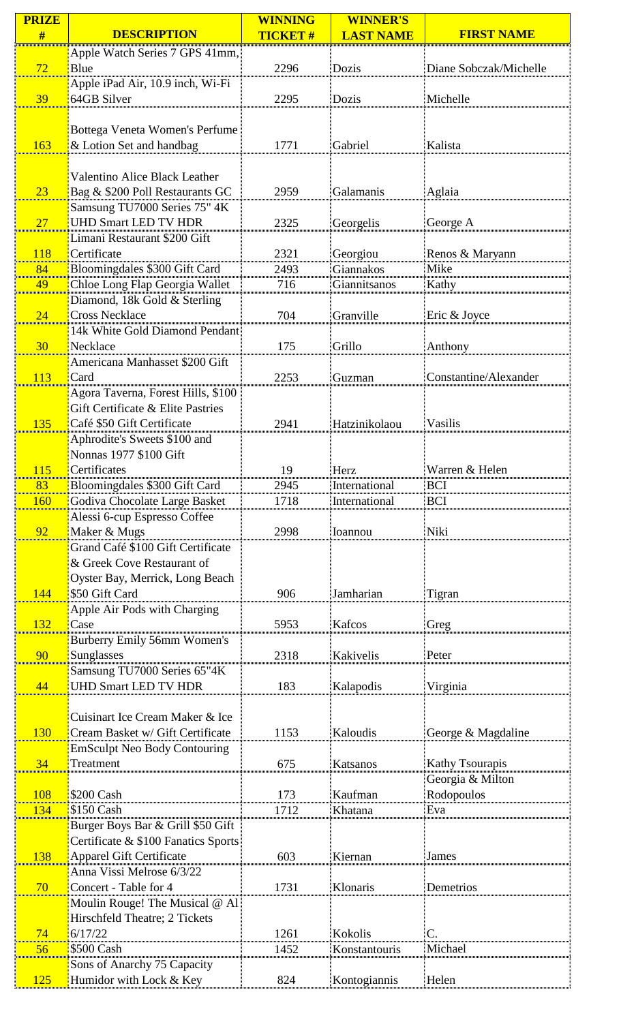| <b>PRIZE</b> |                                                       | <b>WINNING</b> | <b>WINNER'S</b>  |                        |
|--------------|-------------------------------------------------------|----------------|------------------|------------------------|
| #            | <b>DESCRIPTION</b>                                    | <b>TICKET#</b> | <b>LAST NAME</b> | <b>FIRST NAME</b>      |
|              | Apple Watch Series 7 GPS 41mm,                        |                |                  |                        |
| 72           | Blue                                                  | 2296           | Dozis            | Diane Sobczak/Michelle |
|              | Apple iPad Air, 10.9 inch, Wi-Fi                      |                |                  |                        |
| 39           | 64GB Silver                                           | 2295           | Dozis            | Michelle               |
|              |                                                       |                |                  |                        |
|              | Bottega Veneta Women's Perfume                        |                |                  |                        |
| 163          | & Lotion Set and handbag                              | 1771           | Gabriel          | Kalista                |
|              |                                                       |                |                  |                        |
|              | <b>Valentino Alice Black Leather</b>                  |                |                  |                        |
| 23           | Bag & \$200 Poll Restaurants GC                       | 2959           | Galamanis        | Aglaia                 |
|              | Samsung TU7000 Series 75" 4K                          |                |                  |                        |
| 27           | <b>UHD Smart LED TV HDR</b>                           | 2325           | Georgelis        | George A               |
|              | Limani Restaurant \$200 Gift                          |                |                  |                        |
| 118          | Certificate                                           | 2321           | Georgiou         | Renos & Maryann        |
| 84           | Bloomingdales \$300 Gift Card                         | 2493           | Giannakos        | Mike                   |
| 49           | Chloe Long Flap Georgia Wallet                        | 716            | Giannitsanos     | Kathy                  |
| 24           | Diamond, 18k Gold & Sterling<br><b>Cross Necklace</b> | 704            | Granville        | Eric & Joyce           |
|              | 14k White Gold Diamond Pendant                        |                |                  |                        |
| 30           | Necklace                                              | 175            | Grillo           | Anthony                |
|              | Americana Manhasset \$200 Gift                        |                |                  |                        |
| 113          | Card                                                  | 2253           | Guzman           | Constantine/Alexander  |
|              | Agora Taverna, Forest Hills, \$100                    |                |                  |                        |
|              | Gift Certificate & Elite Pastries                     |                |                  |                        |
| 135          | Café \$50 Gift Certificate                            | 2941           | Hatzinikolaou    | Vasilis                |
|              | Aphrodite's Sweets \$100 and                          |                |                  |                        |
|              | Nonnas 1977 \$100 Gift                                |                |                  |                        |
| <b>115</b>   | Certificates                                          | 19             | Herz             | Warren & Helen         |
| 83           | Bloomingdales \$300 Gift Card                         | 2945           | International    | <b>BCI</b>             |
| <b>160</b>   | Godiva Chocolate Large Basket                         | 1718           | International    | <b>BCI</b>             |
|              | Alessi 6-cup Espresso Coffee                          |                |                  |                        |
| 92           | Maker & Mugs                                          | 2998           | Ioannou          | Niki                   |
|              | Grand Café \$100 Gift Certificate                     |                |                  |                        |
|              | & Greek Cove Restaurant of                            |                |                  |                        |
|              | Oyster Bay, Merrick, Long Beach                       |                |                  |                        |
| 144          | \$50 Gift Card                                        | 906            | Jamharian        | Tigran                 |
|              | Apple Air Pods with Charging                          |                |                  |                        |
| 132          | Case                                                  | 5953           | Kafcos           | Greg                   |
|              | Burberry Emily 56mm Women's                           |                |                  |                        |
| 90           | Sunglasses                                            | 2318           | Kakivelis        | Peter                  |
|              | Samsung TU7000 Series 65"4K                           |                |                  |                        |
| 44           | <b>UHD Smart LED TV HDR</b>                           | 183            | Kalapodis        | Virginia               |
|              | Cuisinart Ice Cream Maker & Ice                       |                |                  |                        |
| 130          | Cream Basket w/ Gift Certificate                      | 1153           | Kaloudis         | George & Magdaline     |
|              | <b>EmSculpt Neo Body Contouring</b>                   |                |                  |                        |
| 34           | Treatment                                             | 675            | Katsanos         | <b>Kathy Tsourapis</b> |
|              |                                                       |                |                  | Georgia & Milton       |
| 108          | \$200 Cash                                            | 173            | Kaufman          | Rodopoulos             |
| 134          | \$150 Cash                                            | 1712           | Khatana          | Eva                    |
|              | Burger Boys Bar & Grill \$50 Gift                     |                |                  |                        |
|              | Certificate & \$100 Fanatics Sports                   |                |                  |                        |
| 138          | <b>Apparel Gift Certificate</b>                       | 603            | Kiernan          | <b>James</b>           |
|              | Anna Vissi Melrose 6/3/22                             |                |                  |                        |
| 70           | Concert - Table for 4                                 | 1731           | Klonaris         | Demetrios              |
|              | Moulin Rouge! The Musical @ Al                        |                |                  |                        |
|              | <b>Hirschfeld Theatre; 2 Tickets</b>                  |                |                  |                        |
| 74           | 6/17/22                                               | 1261           | Kokolis          | $\mathsf{C}.$          |
| 56           | \$500 Cash                                            | 1452           | Konstantouris    | Michael                |
|              | Sons of Anarchy 75 Capacity                           |                |                  |                        |
| 125          | Humidor with Lock & Key                               | 824            | Kontogiannis     | Helen                  |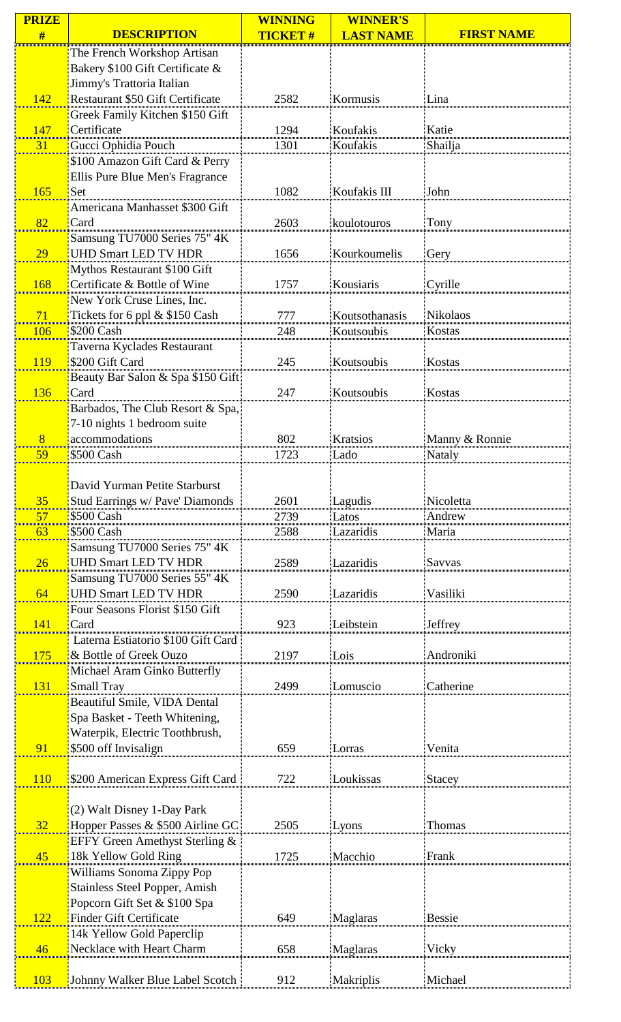| <b>PRIZE</b> |                                                                 | <b>WINNING</b> | <b>WINNER'S</b>  |                   |
|--------------|-----------------------------------------------------------------|----------------|------------------|-------------------|
| #            | <b>DESCRIPTION</b>                                              | <b>TICKET#</b> | <b>LAST NAME</b> | <b>FIRST NAME</b> |
|              | The French Workshop Artisan                                     |                |                  |                   |
|              | Bakery \$100 Gift Certificate &                                 |                |                  |                   |
|              | Jimmy's Trattoria Italian                                       |                |                  |                   |
| 142          | <b>Restaurant \$50 Gift Certificate</b>                         | 2582           | Kormusis         | Lina              |
|              | Greek Family Kitchen \$150 Gift                                 |                |                  |                   |
| 147          | Certificate                                                     | 1294           | Koufakis         | Katie             |
| 31           | Gucci Ophidia Pouch                                             | 1301           | Koufakis         | Shailja           |
|              | \$100 Amazon Gift Card & Perry                                  |                |                  |                   |
|              | Ellis Pure Blue Men's Fragrance                                 |                |                  |                   |
| 165          | Set                                                             | 1082           | Koufakis III     | John              |
|              | Americana Manhasset \$300 Gift                                  |                |                  |                   |
| 82           | Card                                                            | 2603           | koulotouros      | Tony              |
|              | Samsung TU7000 Series 75" 4K                                    |                |                  |                   |
| 29           | <b>UHD Smart LED TV HDR</b>                                     | 1656           | Kourkoumelis     | Gery              |
|              | Mythos Restaurant \$100 Gift                                    |                |                  |                   |
| 168          | Certificate & Bottle of Wine                                    | 1757           | Kousiaris        | Cyrille           |
|              | New York Cruse Lines, Inc.                                      |                |                  |                   |
| 71           | Tickets for 6 ppl & \$150 Cash                                  | 777            | Koutsothanasis   | Nikolaos          |
| 106          | \$200 Cash                                                      | 248            | Koutsoubis       | Kostas            |
|              | Taverna Kyclades Restaurant                                     |                |                  |                   |
| 119          | \$200 Gift Card                                                 | 245            | Koutsoubis       | Kostas            |
|              | Beauty Bar Salon & Spa \$150 Gift                               |                |                  |                   |
| 136          | Card                                                            | 247            | Koutsoubis       | Kostas            |
|              | Barbados, The Club Resort & Spa,                                |                |                  |                   |
|              | 7-10 nights 1 bedroom suite                                     |                |                  |                   |
| 8            | accommodations                                                  | 802            | Kratsios         | Manny & Ronnie    |
| 59           | \$500 Cash                                                      | 1723           | Lado             | Nataly            |
|              |                                                                 |                |                  |                   |
|              | David Yurman Petite Starburst                                   |                |                  |                   |
| 35           | Stud Earrings w/ Pave' Diamonds                                 | 2601           | Lagudis          | Nicoletta         |
| 57           | \$500 Cash                                                      | 2739           | Latos            | Andrew            |
| 63           | \$500 Cash                                                      | 2588           | Lazaridis        | Maria             |
|              | Samsung TU7000 Series 75" 4K                                    |                |                  |                   |
| 26           | <b>UHD Smart LED TV HDR</b>                                     | 2589           | Lazaridis        | Savvas            |
|              | Samsung TU7000 Series 55" 4K                                    |                |                  |                   |
| 64           | <b>UHD Smart LED TV HDR</b>                                     | 2590           | Lazaridis        | Vasiliki          |
|              | Four Seasons Florist \$150 Gift                                 |                |                  |                   |
| 141          | Card                                                            | 923            | Leibstein        | Jeffrey           |
|              | Laterna Estiatorio \$100 Gift Card                              |                |                  |                   |
| 175          | & Bottle of Greek Ouzo                                          | 2197           | Lois             | Androniki         |
|              | Michael Aram Ginko Butterfly                                    |                |                  |                   |
| 131          | <b>Small Tray</b>                                               | 2499           | Lomuscio         | Catherine         |
|              | Beautiful Smile, VIDA Dental                                    |                |                  |                   |
|              | Spa Basket - Teeth Whitening,<br>Waterpik, Electric Toothbrush, |                |                  |                   |
|              | \$500 off Invisalign                                            | 659            |                  | Venita            |
| 91           |                                                                 |                | Lorras           |                   |
| <b>110</b>   | \$200 American Express Gift Card                                | 722            | Loukissas        | Stacey            |
|              |                                                                 |                |                  |                   |
|              | (2) Walt Disney 1-Day Park                                      |                |                  |                   |
| 32           | Hopper Passes & \$500 Airline GC                                | 2505           | Lyons            | <b>Thomas</b>     |
|              | EFFY Green Amethyst Sterling &                                  |                |                  |                   |
| 45           | 18k Yellow Gold Ring                                            | 1725           | Macchio          | Frank             |
|              | Williams Sonoma Zippy Pop                                       |                |                  |                   |
|              | Stainless Steel Popper, Amish                                   |                |                  |                   |
|              | Popcorn Gift Set & \$100 Spa                                    |                |                  |                   |
| 122          | <b>Finder Gift Certificate</b>                                  | 649            | Maglaras         | Bessie            |
|              | 14k Yellow Gold Paperclip                                       |                |                  |                   |
| 46           | Necklace with Heart Charm                                       | 658            | Maglaras         | Vicky             |
|              |                                                                 |                |                  |                   |
| 103          | Johnny Walker Blue Label Scotch                                 | 912            | Makriplis        | Michael           |
|              |                                                                 |                |                  |                   |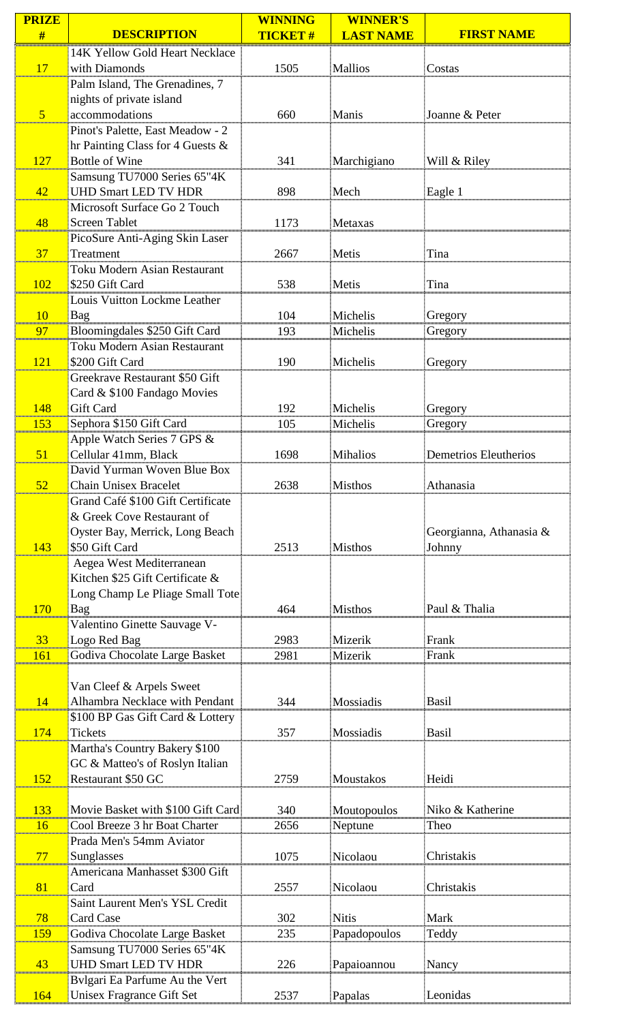| <b>PRIZE</b>     |                                                      | <b>WINNING</b> | <b>WINNER'S</b>    |                         |
|------------------|------------------------------------------------------|----------------|--------------------|-------------------------|
| #                | <b>DESCRIPTION</b>                                   | <b>TICKET#</b> | <b>LAST NAME</b>   | <b>FIRST NAME</b>       |
|                  | 14K Yellow Gold Heart Necklace                       |                |                    |                         |
| 17               | with Diamonds                                        | 1505           | <b>Mallios</b>     | Costas                  |
|                  | Palm Island, The Grenadines, 7                       |                |                    |                         |
|                  | nights of private island                             |                |                    |                         |
| $\sqrt{5}$       | accommodations                                       | 660            | Manis              | Joanne & Peter          |
|                  | Pinot's Palette, East Meadow - 2                     |                |                    |                         |
|                  | hr Painting Class for 4 Guests &                     |                |                    |                         |
| 127              | <b>Bottle of Wine</b><br>Samsung TU7000 Series 65"4K | 341            | Marchigiano        | Will & Riley            |
| 42               | <b>UHD Smart LED TV HDR</b>                          | 898            | Mech               | Eagle 1                 |
|                  | Microsoft Surface Go 2 Touch                         |                |                    |                         |
| 48               | <b>Screen Tablet</b>                                 | 1173           | Metaxas            |                         |
|                  | PicoSure Anti-Aging Skin Laser                       |                |                    |                         |
| 37               | Treatment                                            | 2667           | Metis              | Tina                    |
|                  | Toku Modern Asian Restaurant                         |                |                    |                         |
| 102              | \$250 Gift Card                                      | 538            | Metis              | Tina                    |
|                  | <b>Louis Vuitton Lockme Leather</b>                  |                |                    |                         |
| <b>10</b>        | Bag                                                  | 104            | Michelis           | Gregory                 |
| 97               | Bloomingdales \$250 Gift Card                        | 193            | Michelis           | Gregory                 |
|                  | <b>Toku Modern Asian Restaurant</b>                  |                |                    |                         |
| $\overline{121}$ | \$200 Gift Card                                      | 190            | Michelis           | Gregory                 |
|                  | Greekrave Restaurant \$50 Gift                       |                |                    |                         |
|                  | Card & \$100 Fandago Movies                          |                |                    |                         |
| 148              | Gift Card                                            | 192            | Michelis           | Gregory                 |
| 153              | Sephora \$150 Gift Card                              | 105            | Michelis           | Gregory                 |
|                  | Apple Watch Series 7 GPS &<br>Cellular 41mm, Black   | 1698           |                    | Demetrios Eleutherios   |
| 51               | David Yurman Woven Blue Box                          |                | <b>Mihalios</b>    |                         |
| 52               | <b>Chain Unisex Bracelet</b>                         | 2638           | <b>Misthos</b>     | Athanasia               |
|                  | Grand Café \$100 Gift Certificate                    |                |                    |                         |
|                  | & Greek Cove Restaurant of                           |                |                    |                         |
|                  | Oyster Bay, Merrick, Long Beach                      |                |                    | Georgianna, Athanasia & |
| 143              | \$50 Gift Card                                       | 2513           | <b>Misthos</b>     | Johnny                  |
|                  | Aegea West Mediterranean                             |                |                    |                         |
|                  | Kitchen \$25 Gift Certificate &                      |                |                    |                         |
|                  | Long Champ Le Pliage Small Tote                      |                |                    |                         |
| 170              | Bag                                                  | 464            | <b>Misthos</b>     | Paul & Thalia           |
|                  | Valentino Ginette Sauvage V-                         |                |                    |                         |
| 33<br>161        | Logo Red Bag                                         | 2983<br>2981   | Mizerik<br>Mizerik | Frank<br>Frank          |
|                  | Godiva Chocolate Large Basket                        |                |                    |                         |
|                  | Van Cleef & Arpels Sweet                             |                |                    |                         |
| 14               | Alhambra Necklace with Pendant                       | 344            | Mossiadis          | Basil                   |
|                  | \$100 BP Gas Gift Card & Lottery                     |                |                    |                         |
| 174              | <b>Tickets</b>                                       | 357            | Mossiadis          | <b>Basil</b>            |
|                  | Martha's Country Bakery \$100                        |                |                    |                         |
|                  | GC & Matteo's of Roslyn Italian                      |                |                    |                         |
| 152              | <b>Restaurant \$50 GC</b>                            | 2759           | Moustakos          | Heidi                   |
|                  |                                                      |                |                    |                         |
| 133              | Movie Basket with \$100 Gift Card                    | 340            | Moutopoulos        | Niko & Katherine        |
| 16               | Cool Breeze 3 hr Boat Charter                        | 2656           | Neptune            | Theo                    |
| 77               | Prada Men's 54mm Aviator                             | 1075           | Nicolaou           | Christakis              |
|                  | Sunglasses<br>Americana Manhasset \$300 Gift         |                |                    |                         |
| 81               | Card                                                 | 2557           | Nicolaou           | Christakis              |
|                  | Saint Laurent Men's YSL Credit                       |                |                    |                         |
| 78               | <b>Card Case</b>                                     | 302            | Nitis              | Mark                    |
| 159              | Godiva Chocolate Large Basket                        | 235            | Papadopoulos       | Teddy                   |
|                  | Samsung TU7000 Series 65"4K                          |                |                    |                         |
| 43               | <b>UHD Smart LED TV HDR</b>                          | 226            | Papaioannou        | Nancy                   |
|                  | Bylgari Ea Parfume Au the Vert                       |                |                    |                         |
| 164              | Unisex Fragrance Gift Set                            | 2537           | Papalas            | Leonidas                |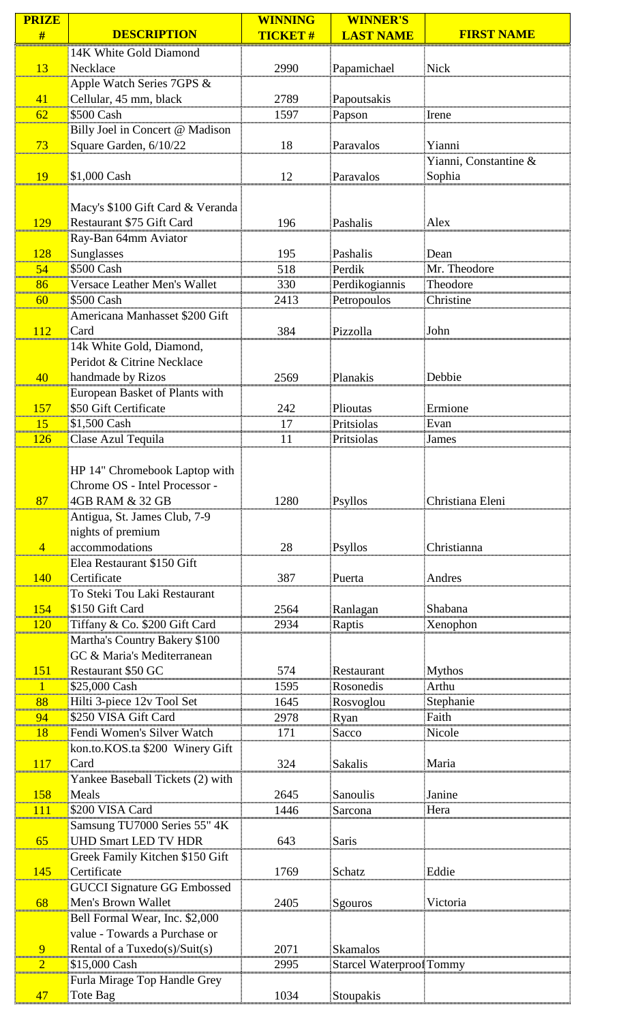| <b>PRIZE</b>     |                                                  | <b>WINNING</b> | <b>WINNER'S</b>          |                       |
|------------------|--------------------------------------------------|----------------|--------------------------|-----------------------|
| #                | <b>DESCRIPTION</b>                               | <b>TICKET#</b> | <b>LAST NAME</b>         | <b>FIRST NAME</b>     |
|                  | 14K White Gold Diamond                           |                |                          |                       |
| 13               | Necklace                                         | 2990           | Papamichael              | Nick                  |
|                  | Apple Watch Series 7GPS &                        |                |                          |                       |
| 41               | Cellular, 45 mm, black                           | 2789           | Papoutsakis              |                       |
| 62               | \$500 Cash                                       | 1597           | Papson                   | Irene                 |
|                  | Billy Joel in Concert @ Madison                  |                |                          | Yianni                |
| 73               | Square Garden, 6/10/22                           | 18             | Paravalos                | Yianni, Constantine & |
| <b>19</b>        | \$1,000 Cash                                     | 12             | Paravalos                | Sophia                |
|                  |                                                  |                |                          |                       |
|                  | Macy's \$100 Gift Card & Veranda                 |                |                          |                       |
| 129              | Restaurant \$75 Gift Card                        | 196            | Pashalis                 | Alex                  |
|                  | Ray-Ban 64mm Aviator                             |                |                          |                       |
| 128              | Sunglasses                                       | 195            | Pashalis                 | Dean                  |
| 54               | \$500 Cash                                       | 518            | Perdik                   | Mr. Theodore          |
| 86               | Versace Leather Men's Wallet                     | 330            | Perdikogiannis           | Theodore              |
| 60               | \$500 Cash                                       | 2413           | Petropoulos              | Christine             |
|                  | Americana Manhasset \$200 Gift                   |                |                          |                       |
| 112              | Card                                             | 384            | Pizzolla                 | John                  |
|                  | 14k White Gold, Diamond,                         |                |                          |                       |
|                  | Peridot & Citrine Necklace                       |                |                          |                       |
| 40               | handmade by Rizos                                | 2569           | Planakis                 | Debbie                |
|                  | European Basket of Plants with                   |                |                          |                       |
| 157              | \$50 Gift Certificate                            | 242            | Plioutas                 | Ermione               |
| <b>15</b><br>126 | \$1,500 Cash<br>Clase Azul Tequila               | 17<br>11       | Pritsiolas<br>Pritsiolas | Evan                  |
|                  |                                                  |                |                          | James                 |
|                  | HP 14" Chromebook Laptop with                    |                |                          |                       |
|                  | Chrome OS - Intel Processor -                    |                |                          |                       |
| 87               | 4GB RAM & 32 GB                                  | 1280           | Psyllos                  | Christiana Eleni      |
|                  | Antigua, St. James Club, 7-9                     |                |                          |                       |
|                  | nights of premium                                |                |                          |                       |
| $\overline{4}$   | accommodations                                   | 28             | <b>Psyllos</b>           | Christianna           |
|                  | Elea Restaurant \$150 Gift                       |                |                          |                       |
| 140              | Certificate                                      | 387            | Puerta                   | Andres                |
|                  | To Steki Tou Laki Restaurant                     |                |                          |                       |
| 154<br>120       | \$150 Gift Card<br>Tiffany & Co. \$200 Gift Card | 2564           | Ranlagan                 | Shabana               |
|                  | Martha's Country Bakery \$100                    | 2934           | Raptis                   | Xenophon              |
|                  | GC & Maria's Mediterranean                       |                |                          |                       |
| 151              | Restaurant \$50 GC                               | 574            | Restaurant               | <b>Mythos</b>         |
| 1                | \$25,000 Cash                                    | 1595           | Rosonedis                | Arthu                 |
| 88               | Hilti 3-piece 12v Tool Set                       | 1645           | Rosvoglou                | Stephanie             |
| 94               | \$250 VISA Gift Card                             | 2978           | Ryan                     | Faith                 |
| <b>18</b>        | Fendi Women's Silver Watch                       | 171            | Sacco                    | Nicole                |
|                  | kon.to.KOS.ta \$200 Winery Gift                  |                |                          |                       |
| <b>117</b>       | Card                                             | 324            | <b>Sakalis</b>           | Maria                 |
|                  | Yankee Baseball Tickets (2) with                 |                |                          |                       |
| 158<br>111       | Meals<br>\$200 VISA Card                         | 2645<br>1446   | Sanoulis<br>Sarcona      | Janine<br>Hera        |
|                  | Samsung TU7000 Series 55" 4K                     |                |                          |                       |
| 65               | <b>UHD Smart LED TV HDR</b>                      | 643            | <b>Saris</b>             |                       |
|                  | Greek Family Kitchen \$150 Gift                  |                |                          |                       |
| 145              | Certificate                                      | 1769           | Schatz                   | Eddie                 |
|                  | <b>GUCCI Signature GG Embossed</b>               |                |                          |                       |
| 68               | Men's Brown Wallet                               | 2405           | Sgouros                  | Victoria              |
|                  | Bell Formal Wear, Inc. \$2,000                   |                |                          |                       |
|                  | value - Towards a Purchase or                    |                |                          |                       |
| 9                | Rental of a Tuxedo(s)/Suit(s)                    | 2071           | Skamalos                 |                       |
| 2                | \$15,000 Cash                                    | 2995           | Starcel Waterproof Tommy |                       |
|                  | Furla Mirage Top Handle Grey                     | 1034           |                          |                       |
| 47               | Tote Bag                                         |                | Stoupakis                |                       |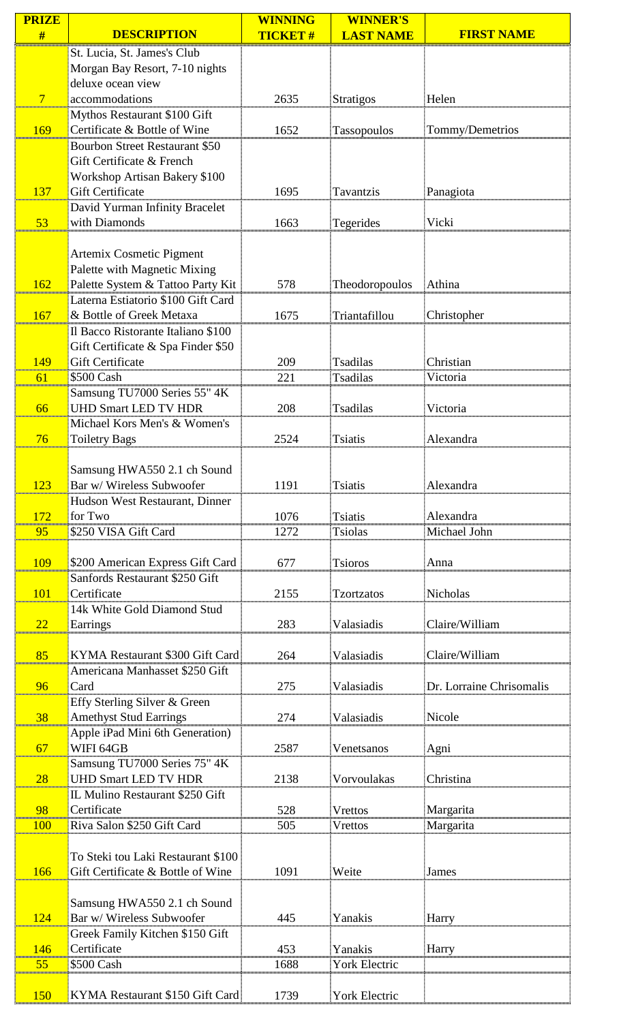| <b>PRIZE</b>    |                                                | <b>WINNING</b> | <b>WINNER'S</b>      |                          |
|-----------------|------------------------------------------------|----------------|----------------------|--------------------------|
| #               | <b>DESCRIPTION</b>                             | <b>TICKET#</b> | <b>LAST NAME</b>     | <b>FIRST NAME</b>        |
|                 | St. Lucia, St. James's Club                    |                |                      |                          |
|                 | Morgan Bay Resort, 7-10 nights                 |                |                      |                          |
|                 | deluxe ocean view                              |                |                      |                          |
| $7\phantom{.0}$ | accommodations                                 | 2635           | <b>Stratigos</b>     | Helen                    |
|                 | Mythos Restaurant \$100 Gift                   |                |                      |                          |
| 169             | Certificate & Bottle of Wine                   | 1652           | Tassopoulos          | Tommy/Demetrios          |
|                 | <b>Bourbon Street Restaurant \$50</b>          |                |                      |                          |
|                 | Gift Certificate & French                      |                |                      |                          |
|                 | <b>Workshop Artisan Bakery \$100</b>           |                |                      |                          |
| 137             | <b>Gift Certificate</b>                        | 1695           | Tavantzis            | Panagiota                |
|                 | David Yurman Infinity Bracelet                 |                |                      |                          |
| 53              | with Diamonds                                  | 1663           | Tegerides            | Vicki                    |
|                 |                                                |                |                      |                          |
|                 | Artemix Cosmetic Pigment                       |                |                      |                          |
|                 | Palette with Magnetic Mixing                   |                |                      |                          |
| 162             | Palette System & Tattoo Party Kit              | 578            | Theodoropoulos       | Athina                   |
|                 | Laterna Estiatorio \$100 Gift Card             |                |                      |                          |
| 167             | & Bottle of Greek Metaxa                       | 1675           | Triantafillou        | Christopher              |
|                 | Il Bacco Ristorante Italiano \$100             |                |                      |                          |
|                 | Gift Certificate & Spa Finder \$50             |                |                      |                          |
| 149             | <b>Gift Certificate</b>                        | 209            | <b>Tsadilas</b>      | Christian                |
| 61              | \$500 Cash                                     | 221            | <b>Tsadilas</b>      | Victoria                 |
|                 | Samsung TU7000 Series 55" 4K                   |                |                      |                          |
| 66              | <b>UHD Smart LED TV HDR</b>                    | 208            | <b>Tsadilas</b>      | Victoria                 |
|                 | Michael Kors Men's & Women's                   |                |                      |                          |
| 76              | <b>Toiletry Bags</b>                           | 2524           | <b>Tsiatis</b>       | Alexandra                |
|                 |                                                |                |                      |                          |
|                 | Samsung HWA550 2.1 ch Sound                    |                |                      |                          |
| 123             | Bar w/ Wireless Subwoofer                      | 1191           | <b>Tsiatis</b>       | Alexandra                |
|                 | Hudson West Restaurant, Dinner                 |                |                      |                          |
| 172             | for Two                                        | 1076           | <b>Tsiatis</b>       | Alexandra                |
| 95              | \$250 VISA Gift Card                           | 1272           | <b>Tsiolas</b>       | Michael John             |
|                 |                                                |                |                      |                          |
| <b>109</b>      | \$200 American Express Gift Card               | 677            | <b>Tsioros</b>       | Anna                     |
|                 | Sanfords Restaurant \$250 Gift                 |                |                      |                          |
| 101             | Certificate                                    | 2155           | <b>Tzortzatos</b>    | Nicholas                 |
|                 | 14k White Gold Diamond Stud                    |                |                      |                          |
| 22              | Earrings                                       | 283            | Valasiadis           | Claire/William           |
|                 |                                                |                |                      |                          |
| 85              | KYMA Restaurant \$300 Gift Card                | 264            | Valasiadis           | Claire/William           |
|                 | Americana Manhasset \$250 Gift                 |                |                      |                          |
| 96              | Card                                           | 275            | Valasiadis           | Dr. Lorraine Chrisomalis |
|                 | Effy Sterling Silver & Green                   |                |                      |                          |
| 38              | <b>Amethyst Stud Earrings</b>                  | 274            | Valasiadis           | Nicole                   |
|                 | Apple iPad Mini 6th Generation)                |                |                      |                          |
| 67              | WIFI 64GB                                      | 2587           | Venetsanos           | Agni                     |
|                 | Samsung TU7000 Series 75" 4K                   |                |                      |                          |
| 28              | <b>UHD Smart LED TV HDR</b>                    | 2138           | Vorvoulakas          | Christina                |
|                 |                                                |                |                      |                          |
| 98              | IL Mulino Restaurant \$250 Gift<br>Certificate | 528            | <b>Vrettos</b>       |                          |
|                 |                                                |                |                      | Margarita                |
| <b>100</b>      | Riva Salon \$250 Gift Card                     | 505            | Vrettos              | Margarita                |
|                 |                                                |                |                      |                          |
|                 | To Steki tou Laki Restaurant \$100             |                |                      |                          |
| 166             | Gift Certificate & Bottle of Wine              | 1091           | Weite                | James                    |
|                 |                                                |                |                      |                          |
|                 | Samsung HWA550 2.1 ch Sound                    |                |                      |                          |
| 124             | Bar w/ Wireless Subwoofer                      | 445            | Yanakis              | Harry                    |
|                 | Greek Family Kitchen \$150 Gift                |                |                      |                          |
| 146             | Certificate                                    | 453            | Yanakis              | Harry                    |
| 55              | \$500 Cash                                     | 1688           | <b>York Electric</b> |                          |
|                 |                                                |                |                      |                          |
| 150             | KYMA Restaurant \$150 Gift Card                | 1739           | <b>York Electric</b> |                          |